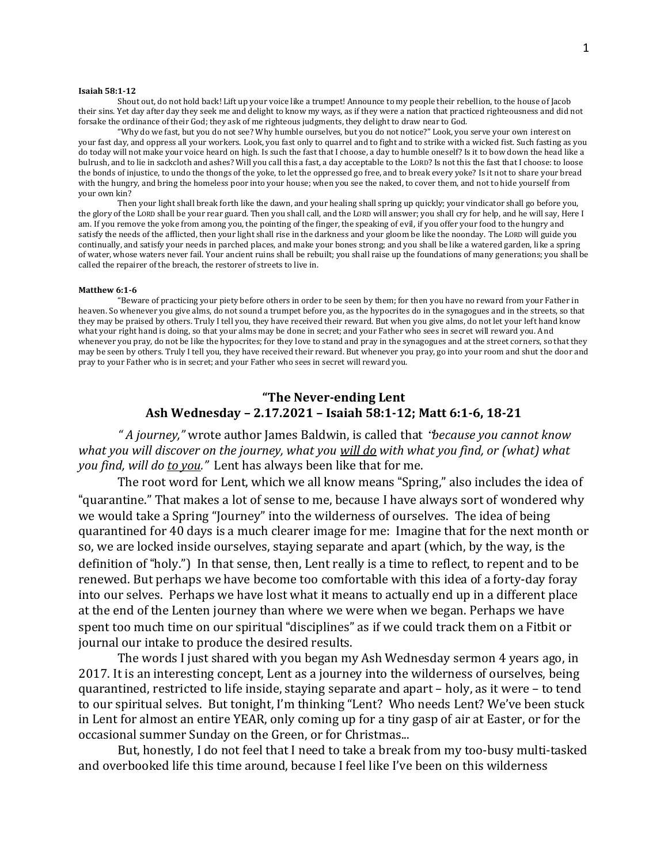## **Isaiah 58:1-12**

Shout out, do not hold back! Lift up your voice like a trumpet! Announce to my people their rebellion, to the house of Jacob their sins. Yet day after day they seek me and delight to know my ways, as if they were a nation that practiced righteousness and did not forsake the ordinance of their God; they ask of me righteous judgments, they delight to draw near to God.

"Why do we fast, but you do not see? Why humble ourselves, but you do not notice?" Look, you serve your own interest on your fast day, and oppress all your workers. Look, you fast only to quarrel and to fight and to strike with a wicked fist. Such fasting as you do today will not make your voice heard on high. Is such the fast that I choose, a day to humble oneself? Is it to bow down the head like a bulrush, and to lie in sackcloth and ashes? Will you call this a fast, a day acceptable to the LORD? Is not this the fast that I choose: to loose the bonds of injustice, to undo the thongs of the yoke, to let the oppressed go free, and to break every yoke? Is it not to share your bread with the hungry, and bring the homeless poor into your house; when you see the naked, to cover them, and not to hide yourself from your own kin?

Then your light shall break forth like the dawn, and your healing shall spring up quickly; your vindicator shall go before you, the glory of the LORD shall be your rear guard. Then you shall call, and the LORD will answer; you shall cry for help, and he will say, Here I am. If you remove the yoke from among you, the pointing of the finger, the speaking of evil, if you offer your food to the hungry and satisfy the needs of the afflicted, then your light shall rise in the darkness and your gloom be like the noonday. The LORD will guide you continually, and satisfy your needs in parched places, and make your bones strong; and you shall be like a watered garden, like a spring of water, whose waters never fail. Your ancient ruins shall be rebuilt; you shall raise up the foundations of many generations; you shall be called the repairer of the breach, the restorer of streets to live in.

## **Matthew 6:1-6**

"Beware of practicing your piety before others in order to be seen by them; for then you have no reward from your Father in heaven. So whenever you give alms, do not sound a trumpet before you, as the hypocrites do in the synagogues and in the streets, so that they may be praised by others. Truly I tell you, they have received their reward. But when you give alms, do not let your left hand know what your right hand is doing, so that your alms may be done in secret; and your Father who sees in secret will reward you. And whenever you pray, do not be like the hypocrites; for they love to stand and pray in the synagogues and at the street corners, so that they may be seen by others. Truly I tell you, they have received their reward. But whenever you pray, go into your room and shut the door and pray to your Father who is in secret; and your Father who sees in secret will reward you.

## **"The Never-ending Lent Ash Wednesday – 2.17.2021 – Isaiah 58:1-12; Matt 6:1-6, 18-21**

*" A journey,"* wrote author James Baldwin, is called that "*because you cannot know what you will discover on the journey, what you will do with what you find, or (what) what you find, will do to you."* Lent has always been like that for me.

The root word for Lent, which we all know means "Spring," also includes the idea of "quarantine." That makes a lot of sense to me, because I have always sort of wondered why we would take a Spring "Journey" into the wilderness of ourselves. The idea of being quarantined for 40 days is a much clearer image for me: Imagine that for the next month or so, we are locked inside ourselves, staying separate and apart (which, by the way, is the definition of "holy.") In that sense, then, Lent really is a time to reflect, to repent and to be renewed. But perhaps we have become too comfortable with this idea of a forty-day foray into our selves. Perhaps we have lost what it means to actually end up in a different place at the end of the Lenten journey than where we were when we began. Perhaps we have spent too much time on our spiritual "disciplines" as if we could track them on a Fitbit or journal our intake to produce the desired results.

The words I just shared with you began my Ash Wednesday sermon 4 years ago, in 2017. It is an interesting concept, Lent as a journey into the wilderness of ourselves, being quarantined, restricted to life inside, staying separate and apart – holy, as it were – to tend to our spiritual selves. But tonight, I'm thinking "Lent? Who needs Lent? We've been stuck in Lent for almost an entire YEAR, only coming up for a tiny gasp of air at Easter, or for the occasional summer Sunday on the Green, or for Christmas...

But, honestly, I do not feel that I need to take a break from my too-busy multi-tasked and overbooked life this time around, because I feel like I've been on this wilderness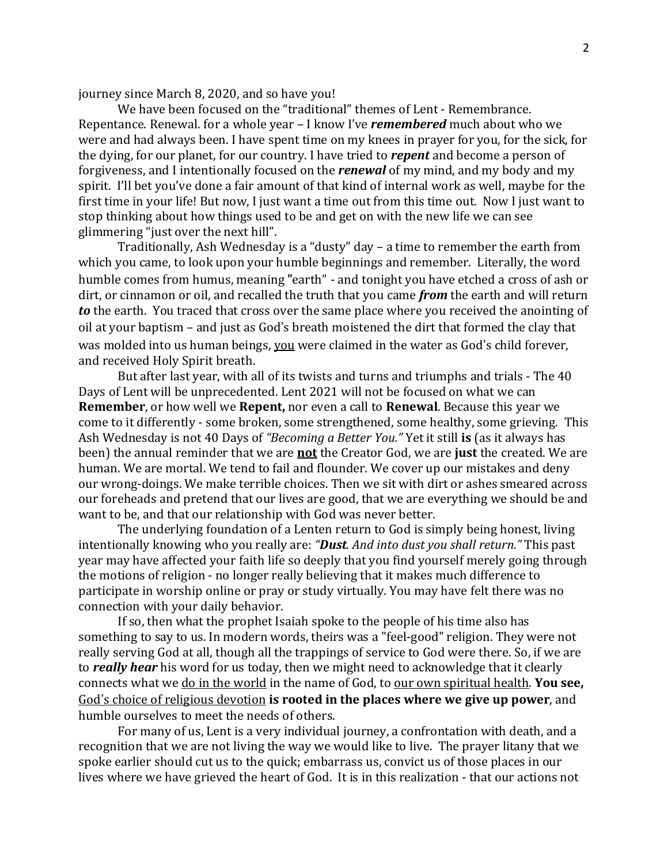journey since March 8, 2020, and so have you!

We have been focused on the "traditional" themes of Lent - Remembrance. Repentance. Renewal. for a whole year – I know I've *remembered* much about who we were and had always been. I have spent time on my knees in prayer for you, for the sick, for the dying, for our planet, for our country. I have tried to *repent* and become a person of forgiveness, and I intentionally focused on the *renewal* of my mind, and my body and my spirit. I'll bet you've done a fair amount of that kind of internal work as well, maybe for the first time in your life! But now, I just want a time out from this time out. Now I just want to stop thinking about how things used to be and get on with the new life we can see glimmering "just over the next hill".

Traditionally, Ash Wednesday is a "dusty" day – a time to remember the earth from which you came, to look upon your humble beginnings and remember. Literally, the word humble comes from humus, meaning "earth" - and tonight you have etched a cross of ash or dirt, or cinnamon or oil, and recalled the truth that you came *from* the earth and will return *to* the earth. You traced that cross over the same place where you received the anointing of oil at your baptism – and just as God's breath moistened the dirt that formed the clay that was molded into us human beings, you were claimed in the water as God's child forever, and received Holy Spirit breath.

But after last year, with all of its twists and turns and triumphs and trials - The 40 Days of Lent will be unprecedented. Lent 2021 will not be focused on what we can **Remember**, or how well we **Repent,** nor even a call to **Renewal**. Because this year we come to it differently - some broken, some strengthened, some healthy, some grieving. This Ash Wednesday is not 40 Days of *"Becoming a Better You."* Yet it still **is** (as it always has been) the annual reminder that we are **not** the Creator God, we are **just** the created. We are human. We are mortal. We tend to fail and flounder. We cover up our mistakes and deny our wrong-doings. We make terrible choices. Then we sit with dirt or ashes smeared across our foreheads and pretend that our lives are good, that we are everything we should be and want to be, and that our relationship with God was never better.

The underlying foundation of a Lenten return to God is simply being honest, living intentionally knowing who you really are: *"Dust. And into dust you shall return."* This past year may have affected your faith life so deeply that you find yourself merely going through the motions of religion - no longer really believing that it makes much difference to participate in worship online or pray or study virtually. You may have felt there was no connection with your daily behavior.

If so, then what the prophet Isaiah spoke to the people of his time also has something to say to us. In modern words, theirs was a "feel-good" religion. They were not really serving God at all, though all the trappings of service to God were there. So, if we are to *really hear* his word for us today, then we might need to acknowledge that it clearly connects what we do in the world in the name of God, to our own spiritual health. **You see,** God's choice of religious devotion **is rooted in the places where we give up power**, and humble ourselves to meet the needs of others.

For many of us, Lent is a very individual journey, a confrontation with death, and a recognition that we are not living the way we would like to live. The prayer litany that we spoke earlier should cut us to the quick; embarrass us, convict us of those places in our lives where we have grieved the heart of God. It is in this realization - that our actions not